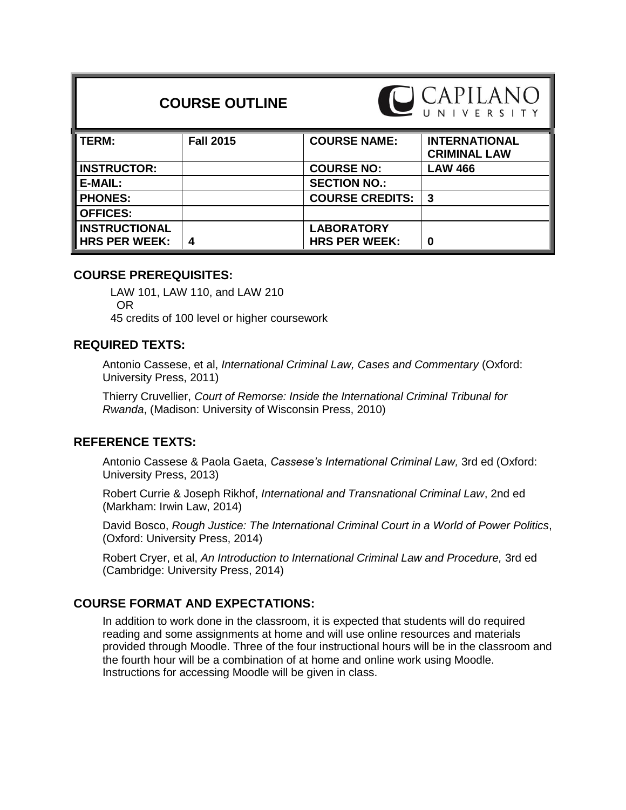# **COURSE OUTLINE**



| l TERM:              | <b>Fall 2015</b> | <b>COURSE NAME:</b>    | <b>INTERNATIONAL</b><br><b>CRIMINAL LAW</b> |
|----------------------|------------------|------------------------|---------------------------------------------|
| <b>INSTRUCTOR:</b>   |                  | <b>COURSE NO:</b>      | <b>LAW 466</b>                              |
| E-MAIL:              |                  | <b>SECTION NO.:</b>    |                                             |
| <b>PHONES:</b>       |                  | <b>COURSE CREDITS:</b> | -3                                          |
| <b>OFFICES:</b>      |                  |                        |                                             |
| <b>INSTRUCTIONAL</b> |                  | <b>LABORATORY</b>      |                                             |
| <b>HRS PER WEEK:</b> | 4                | <b>HRS PER WEEK:</b>   | 0                                           |

# **COURSE PREREQUISITES:**

LAW 101, LAW 110, and LAW 210 OR 45 credits of 100 level or higher coursework

# **REQUIRED TEXTS:**

Antonio Cassese, et al, *International Criminal Law, Cases and Commentary* (Oxford: University Press, 2011)

Thierry Cruvellier, *Court of Remorse: Inside the International Criminal Tribunal for Rwanda*, (Madison: University of Wisconsin Press, 2010)

# **REFERENCE TEXTS:**

Antonio Cassese & Paola Gaeta, *Cassese's International Criminal Law,* 3rd ed (Oxford: University Press, 2013)

Robert Currie & Joseph Rikhof, *International and Transnational Criminal Law*, 2nd ed (Markham: Irwin Law, 2014)

David Bosco, *Rough Justice: The International Criminal Court in a World of Power Politics*, (Oxford: University Press, 2014)

Robert Cryer, et al, *An Introduction to International Criminal Law and Procedure,* 3rd ed (Cambridge: University Press, 2014)

# **COURSE FORMAT AND EXPECTATIONS:**

In addition to work done in the classroom, it is expected that students will do required reading and some assignments at home and will use online resources and materials provided through Moodle. Three of the four instructional hours will be in the classroom and the fourth hour will be a combination of at home and online work using Moodle. Instructions for accessing Moodle will be given in class.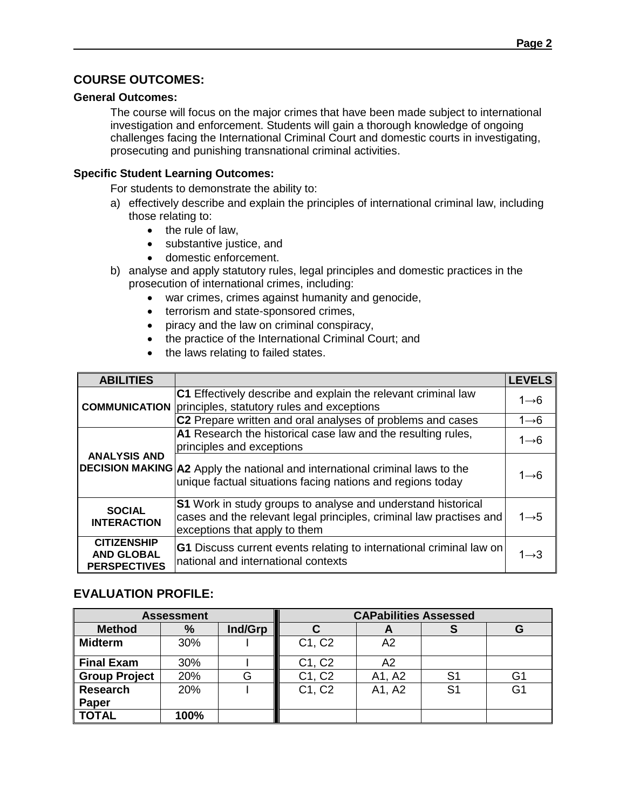# **COURSE OUTCOMES:**

### **General Outcomes:**

The course will focus on the major crimes that have been made subject to international investigation and enforcement. Students will gain a thorough knowledge of ongoing challenges facing the International Criminal Court and domestic courts in investigating, prosecuting and punishing transnational criminal activities.

## **Specific Student Learning Outcomes:**

For students to demonstrate the ability to:

- a) effectively describe and explain the principles of international criminal law, including those relating to:
	- $\bullet$  the rule of law,
	- substantive justice, and
	- domestic enforcement.
- b) analyse and apply statutory rules, legal principles and domestic practices in the prosecution of international crimes, including:
	- war crimes, crimes against humanity and genocide,
	- terrorism and state-sponsored crimes,
	- piracy and the law on criminal conspiracy,
	- the practice of the International Criminal Court; and
	- the laws relating to failed states.

| <b>ABILITIES</b>                                               |                                                                                                                                                                      | <b>LEVELS</b>     |
|----------------------------------------------------------------|----------------------------------------------------------------------------------------------------------------------------------------------------------------------|-------------------|
|                                                                | C1 Effectively describe and explain the relevant criminal law<br><b>COMMUNICATION</b> principles, statutory rules and exceptions                                     | $1 \rightarrow 6$ |
|                                                                | C2 Prepare written and oral analyses of problems and cases                                                                                                           | $1 \rightarrow 6$ |
|                                                                | A1 Research the historical case law and the resulting rules,<br>principles and exceptions                                                                            | $1 \rightarrow 6$ |
| <b>ANALYSIS AND</b>                                            | DECISION MAKING A2 Apply the national and international criminal laws to the<br>unique factual situations facing nations and regions today                           | $1 \rightarrow 6$ |
| <b>SOCIAL</b><br><b>INTERACTION</b>                            | S1 Work in study groups to analyse and understand historical<br>cases and the relevant legal principles, criminal law practises and<br>exceptions that apply to them | $1 \rightarrow 5$ |
| <b>CITIZENSHIP</b><br><b>AND GLOBAL</b><br><b>PERSPECTIVES</b> | <b>G1</b> Discuss current events relating to international criminal law on<br>national and international contexts                                                    | 1 $\rightarrow$ 3 |

# **EVALUATION PROFILE:**

|                      | <b>Assessment</b> |         | <b>CAPabilities Assessed</b> |        |    |    |  |
|----------------------|-------------------|---------|------------------------------|--------|----|----|--|
| <b>Method</b>        | %                 | Ind/Grp |                              |        |    | G  |  |
| <b>Midterm</b>       | 30%               |         | C1, C2                       | A2     |    |    |  |
| <b>Final Exam</b>    | 30%               |         | C1, C2                       | A2     |    |    |  |
| <b>Group Project</b> | 20%               |         | C1, C2                       | A1, A2 | S1 | G1 |  |
| Research             | 20%               |         | C1, C2                       | A1, A2 | S1 | G1 |  |
| Paper                |                   |         |                              |        |    |    |  |
| <b>TOTAL</b>         | 100%              |         |                              |        |    |    |  |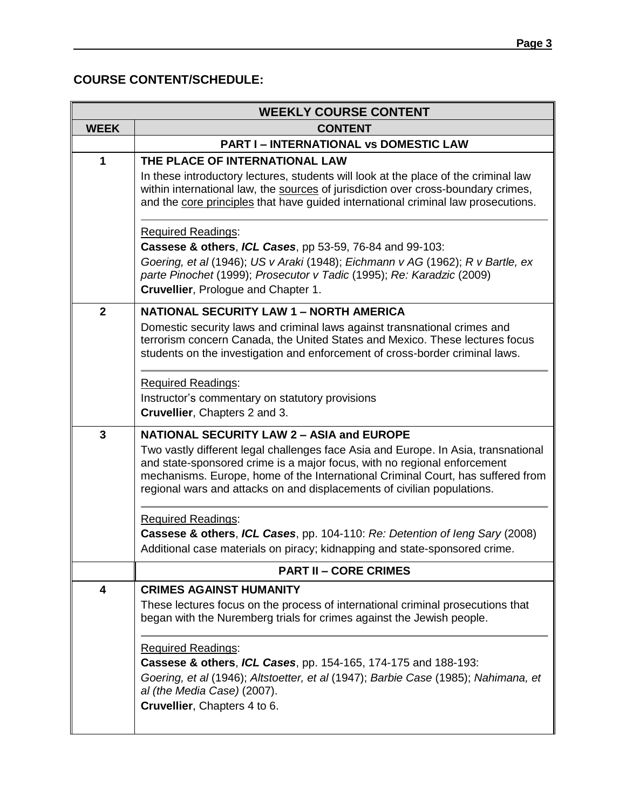# **COURSE CONTENT/SCHEDULE:**

|                | <b>WEEKLY COURSE CONTENT</b>                                                                                                                                                                                                                                                                                                                                                     |  |  |  |  |
|----------------|----------------------------------------------------------------------------------------------------------------------------------------------------------------------------------------------------------------------------------------------------------------------------------------------------------------------------------------------------------------------------------|--|--|--|--|
| <b>WEEK</b>    | <b>CONTENT</b>                                                                                                                                                                                                                                                                                                                                                                   |  |  |  |  |
|                | <b>PART I - INTERNATIONAL VS DOMESTIC LAW</b>                                                                                                                                                                                                                                                                                                                                    |  |  |  |  |
| 1              | THE PLACE OF INTERNATIONAL LAW<br>In these introductory lectures, students will look at the place of the criminal law<br>within international law, the sources of jurisdiction over cross-boundary crimes,<br>and the core principles that have guided international criminal law prosecutions.                                                                                  |  |  |  |  |
|                | <b>Required Readings:</b><br>Cassese & others, ICL Cases, pp 53-59, 76-84 and 99-103:<br>Goering, et al (1946); US v Araki (1948); Eichmann v AG (1962); R v Bartle, ex<br>parte Pinochet (1999); Prosecutor v Tadic (1995); Re: Karadzic (2009)<br>Cruvellier, Prologue and Chapter 1.                                                                                          |  |  |  |  |
| $\overline{2}$ | <b>NATIONAL SECURITY LAW 1 - NORTH AMERICA</b><br>Domestic security laws and criminal laws against transnational crimes and<br>terrorism concern Canada, the United States and Mexico. These lectures focus<br>students on the investigation and enforcement of cross-border criminal laws.<br><b>Required Readings:</b>                                                         |  |  |  |  |
|                | Instructor's commentary on statutory provisions<br>Cruvellier, Chapters 2 and 3.                                                                                                                                                                                                                                                                                                 |  |  |  |  |
| $\overline{3}$ | <b>NATIONAL SECURITY LAW 2 - ASIA and EUROPE</b><br>Two vastly different legal challenges face Asia and Europe. In Asia, transnational<br>and state-sponsored crime is a major focus, with no regional enforcement<br>mechanisms. Europe, home of the International Criminal Court, has suffered from<br>regional wars and attacks on and displacements of civilian populations. |  |  |  |  |
|                | <b>Required Readings:</b><br>Cassese & others, ICL Cases, pp. 104-110: Re: Detention of leng Sary (2008)<br>Additional case materials on piracy; kidnapping and state-sponsored crime.                                                                                                                                                                                           |  |  |  |  |
|                | <b>PART II - CORE CRIMES</b>                                                                                                                                                                                                                                                                                                                                                     |  |  |  |  |
| 4              | <b>CRIMES AGAINST HUMANITY</b><br>These lectures focus on the process of international criminal prosecutions that<br>began with the Nuremberg trials for crimes against the Jewish people.                                                                                                                                                                                       |  |  |  |  |
|                | Required Readings:<br>Cassese & others, ICL Cases, pp. 154-165, 174-175 and 188-193:<br>Goering, et al (1946); Altstoetter, et al (1947); Barbie Case (1985); Nahimana, et<br>al (the Media Case) (2007).<br>Cruvellier, Chapters 4 to 6.                                                                                                                                        |  |  |  |  |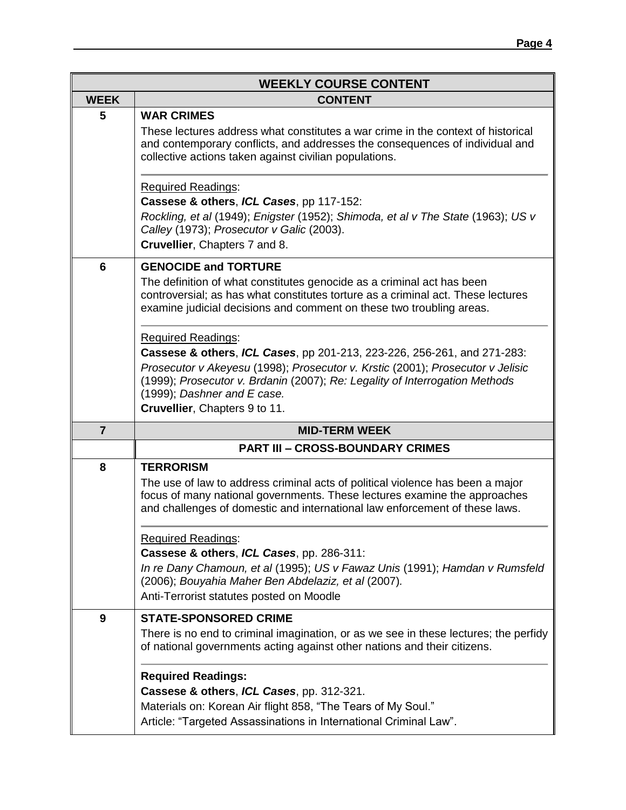|                | <b>WEEKLY COURSE CONTENT</b>                                                                                                                                                                                                                                                                                                          |  |  |  |  |  |
|----------------|---------------------------------------------------------------------------------------------------------------------------------------------------------------------------------------------------------------------------------------------------------------------------------------------------------------------------------------|--|--|--|--|--|
| <b>WEEK</b>    | <b>CONTENT</b>                                                                                                                                                                                                                                                                                                                        |  |  |  |  |  |
| 5              | <b>WAR CRIMES</b><br>These lectures address what constitutes a war crime in the context of historical<br>and contemporary conflicts, and addresses the consequences of individual and<br>collective actions taken against civilian populations.                                                                                       |  |  |  |  |  |
|                | <b>Required Readings:</b><br>Cassese & others, ICL Cases, pp 117-152:<br>Rockling, et al (1949); Enigster (1952); Shimoda, et al v The State (1963); US v<br>Calley (1973); Prosecutor v Galic (2003).<br>Cruvellier, Chapters 7 and 8.                                                                                               |  |  |  |  |  |
| 6              | <b>GENOCIDE and TORTURE</b><br>The definition of what constitutes genocide as a criminal act has been<br>controversial; as has what constitutes torture as a criminal act. These lectures<br>examine judicial decisions and comment on these two troubling areas.                                                                     |  |  |  |  |  |
|                | <b>Required Readings:</b><br>Cassese & others, ICL Cases, pp 201-213, 223-226, 256-261, and 271-283:<br>Prosecutor v Akeyesu (1998); Prosecutor v. Krstic (2001); Prosecutor v Jelisic<br>(1999); Prosecutor v. Brdanin (2007); Re: Legality of Interrogation Methods<br>(1999); Dashner and E case.<br>Cruvellier, Chapters 9 to 11. |  |  |  |  |  |
| $\overline{7}$ | <b>MID-TERM WEEK</b>                                                                                                                                                                                                                                                                                                                  |  |  |  |  |  |
|                | <b>PART III - CROSS-BOUNDARY CRIMES</b>                                                                                                                                                                                                                                                                                               |  |  |  |  |  |
| 8              | <b>TERRORISM</b><br>The use of law to address criminal acts of political violence has been a major<br>focus of many national governments. These lectures examine the approaches<br>and challenges of domestic and international law enforcement of these laws.                                                                        |  |  |  |  |  |
|                | <b>Required Readings:</b><br>Cassese & others, ICL Cases, pp. 286-311:<br>In re Dany Chamoun, et al (1995); US v Fawaz Unis (1991); Hamdan v Rumsfeld<br>(2006); Bouyahia Maher Ben Abdelaziz, et al (2007).<br>Anti-Terrorist statutes posted on Moodle                                                                              |  |  |  |  |  |
| 9              | <b>STATE-SPONSORED CRIME</b><br>There is no end to criminal imagination, or as we see in these lectures; the perfidy<br>of national governments acting against other nations and their citizens.                                                                                                                                      |  |  |  |  |  |
|                | <b>Required Readings:</b><br>Cassese & others, ICL Cases, pp. 312-321.<br>Materials on: Korean Air flight 858, "The Tears of My Soul."<br>Article: "Targeted Assassinations in International Criminal Law".                                                                                                                           |  |  |  |  |  |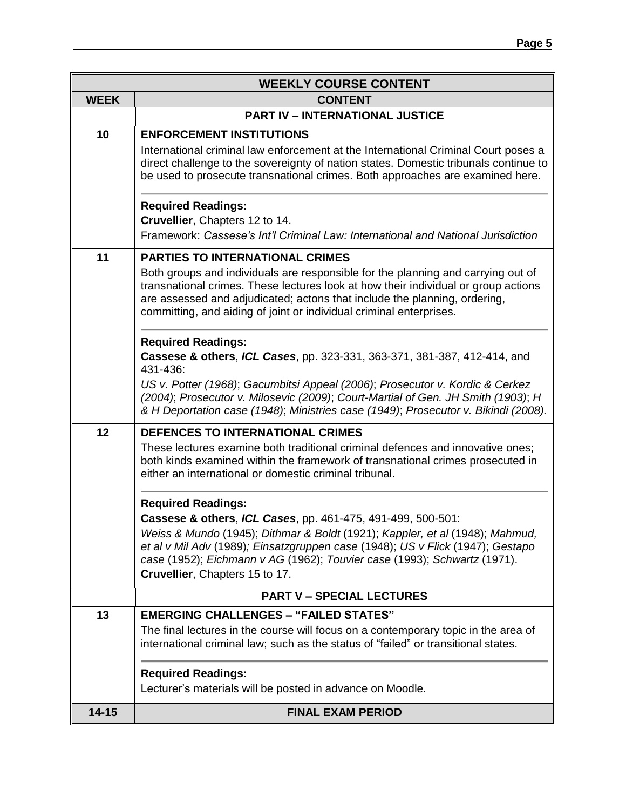|             | <b>WEEKLY COURSE CONTENT</b>                                                                                                                                                                                                                                                                                                                                                |  |  |  |  |  |
|-------------|-----------------------------------------------------------------------------------------------------------------------------------------------------------------------------------------------------------------------------------------------------------------------------------------------------------------------------------------------------------------------------|--|--|--|--|--|
| <b>WEEK</b> | <b>CONTENT</b>                                                                                                                                                                                                                                                                                                                                                              |  |  |  |  |  |
|             | <b>PART IV - INTERNATIONAL JUSTICE</b>                                                                                                                                                                                                                                                                                                                                      |  |  |  |  |  |
| 10          | <b>ENFORCEMENT INSTITUTIONS</b><br>International criminal law enforcement at the International Criminal Court poses a<br>direct challenge to the sovereignty of nation states. Domestic tribunals continue to<br>be used to prosecute transnational crimes. Both approaches are examined here.                                                                              |  |  |  |  |  |
|             | <b>Required Readings:</b><br>Cruvellier, Chapters 12 to 14.<br>Framework: Cassese's Int'l Criminal Law: International and National Jurisdiction                                                                                                                                                                                                                             |  |  |  |  |  |
| 11          | <b>PARTIES TO INTERNATIONAL CRIMES</b><br>Both groups and individuals are responsible for the planning and carrying out of<br>transnational crimes. These lectures look at how their individual or group actions<br>are assessed and adjudicated; actons that include the planning, ordering,<br>committing, and aiding of joint or individual criminal enterprises.        |  |  |  |  |  |
|             | <b>Required Readings:</b><br>Cassese & others, ICL Cases, pp. 323-331, 363-371, 381-387, 412-414, and<br>431-436:<br>US v. Potter (1968); Gacumbitsi Appeal (2006); Prosecutor v. Kordic & Cerkez<br>(2004); Prosecutor v. Milosevic (2009); Court-Martial of Gen. JH Smith (1903); H<br>& H Deportation case (1948); Ministries case (1949); Prosecutor v. Bikindi (2008). |  |  |  |  |  |
| 12          | <b>DEFENCES TO INTERNATIONAL CRIMES</b><br>These lectures examine both traditional criminal defences and innovative ones;<br>both kinds examined within the framework of transnational crimes prosecuted in<br>either an international or domestic criminal tribunal.                                                                                                       |  |  |  |  |  |
|             | <b>Required Readings:</b><br>Cassese & others, ICL Cases, pp. 461-475, 491-499, 500-501:<br>Weiss & Mundo (1945); Dithmar & Boldt (1921); Kappler, et al (1948); Mahmud,<br>et al v Mil Adv (1989); Einsatzgruppen case (1948); US v Flick (1947); Gestapo<br>case (1952); Eichmann v AG (1962); Touvier case (1993); Schwartz (1971).<br>Cruvellier, Chapters 15 to 17.    |  |  |  |  |  |
|             | <b>PART V - SPECIAL LECTURES</b>                                                                                                                                                                                                                                                                                                                                            |  |  |  |  |  |
| 13          | <b>EMERGING CHALLENGES - "FAILED STATES"</b><br>The final lectures in the course will focus on a contemporary topic in the area of<br>international criminal law; such as the status of "failed" or transitional states.                                                                                                                                                    |  |  |  |  |  |
|             | <b>Required Readings:</b><br>Lecturer's materials will be posted in advance on Moodle.                                                                                                                                                                                                                                                                                      |  |  |  |  |  |
| $14 - 15$   | <b>FINAL EXAM PERIOD</b>                                                                                                                                                                                                                                                                                                                                                    |  |  |  |  |  |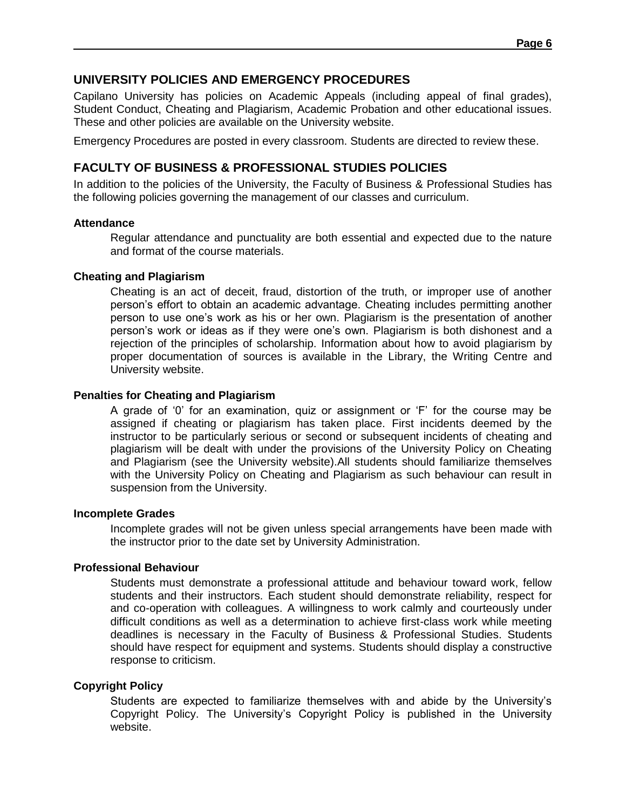## **UNIVERSITY POLICIES AND EMERGENCY PROCEDURES**

Capilano University has policies on Academic Appeals (including appeal of final grades), Student Conduct, Cheating and Plagiarism, Academic Probation and other educational issues. These and other policies are available on the University website.

Emergency Procedures are posted in every classroom. Students are directed to review these.

# **FACULTY OF BUSINESS & PROFESSIONAL STUDIES POLICIES**

In addition to the policies of the University, the Faculty of Business & Professional Studies has the following policies governing the management of our classes and curriculum.

#### **Attendance**

Regular attendance and punctuality are both essential and expected due to the nature and format of the course materials.

#### **Cheating and Plagiarism**

Cheating is an act of deceit, fraud, distortion of the truth, or improper use of another person's effort to obtain an academic advantage. Cheating includes permitting another person to use one's work as his or her own. Plagiarism is the presentation of another person's work or ideas as if they were one's own. Plagiarism is both dishonest and a rejection of the principles of scholarship. Information about how to avoid plagiarism by proper documentation of sources is available in the Library, the Writing Centre and University website.

#### **Penalties for Cheating and Plagiarism**

A grade of '0' for an examination, quiz or assignment or 'F' for the course may be assigned if cheating or plagiarism has taken place. First incidents deemed by the instructor to be particularly serious or second or subsequent incidents of cheating and plagiarism will be dealt with under the provisions of the University Policy on Cheating and Plagiarism (see the University website).All students should familiarize themselves with the University Policy on Cheating and Plagiarism as such behaviour can result in suspension from the University.

#### **Incomplete Grades**

Incomplete grades will not be given unless special arrangements have been made with the instructor prior to the date set by University Administration.

#### **Professional Behaviour**

Students must demonstrate a professional attitude and behaviour toward work, fellow students and their instructors. Each student should demonstrate reliability, respect for and co-operation with colleagues. A willingness to work calmly and courteously under difficult conditions as well as a determination to achieve first-class work while meeting deadlines is necessary in the Faculty of Business & Professional Studies. Students should have respect for equipment and systems. Students should display a constructive response to criticism.

#### **Copyright Policy**

Students are expected to familiarize themselves with and abide by the University's Copyright Policy. The University's Copyright Policy is published in the University website.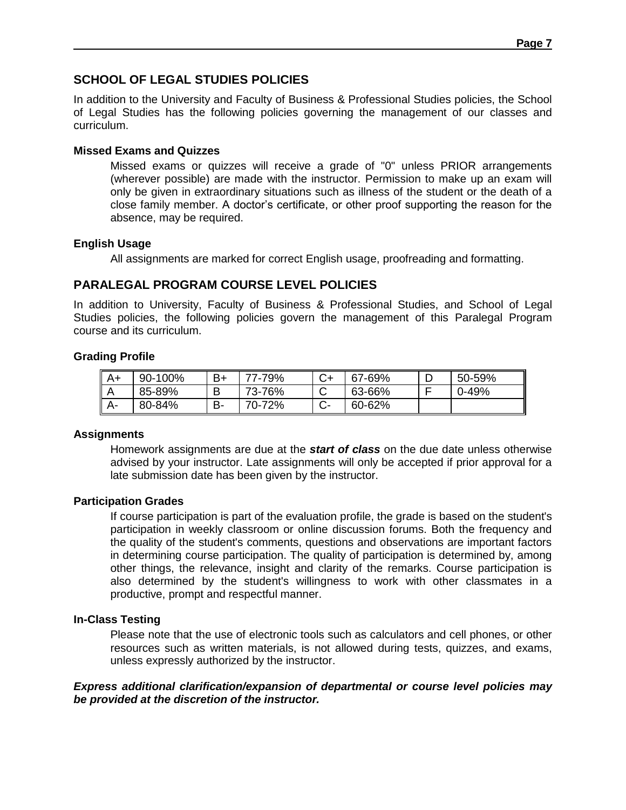# **SCHOOL OF LEGAL STUDIES POLICIES**

In addition to the University and Faculty of Business & Professional Studies policies, the School of Legal Studies has the following policies governing the management of our classes and curriculum.

### **Missed Exams and Quizzes**

Missed exams or quizzes will receive a grade of "0" unless PRIOR arrangements (wherever possible) are made with the instructor. Permission to make up an exam will only be given in extraordinary situations such as illness of the student or the death of a close family member. A doctor's certificate, or other proof supporting the reason for the absence, may be required.

## **English Usage**

All assignments are marked for correct English usage, proofreading and formatting.

# **PARALEGAL PROGRAM COURSE LEVEL POLICIES**

In addition to University, Faculty of Business & Professional Studies, and School of Legal Studies policies, the following policies govern the management of this Paralegal Program course and its curriculum.

## **Grading Profile**

| $A+$ | 90-100% | $B+$ | 77-79% | 67-69% | 50-59%    |
|------|---------|------|--------|--------|-----------|
| L    | 85-89%  | в    | 73-76% | 63-66% | $0 - 49%$ |
| A-   | 80-84%  | в-   | 70-72% | 60-62% |           |

## **Assignments**

Homework assignments are due at the *start of class* on the due date unless otherwise advised by your instructor. Late assignments will only be accepted if prior approval for a late submission date has been given by the instructor.

#### **Participation Grades**

If course participation is part of the evaluation profile, the grade is based on the student's participation in weekly classroom or online discussion forums. Both the frequency and the quality of the student's comments, questions and observations are important factors in determining course participation. The quality of participation is determined by, among other things, the relevance, insight and clarity of the remarks. Course participation is also determined by the student's willingness to work with other classmates in a productive, prompt and respectful manner.

## **In-Class Testing**

Please note that the use of electronic tools such as calculators and cell phones, or other resources such as written materials, is not allowed during tests, quizzes, and exams, unless expressly authorized by the instructor.

#### *Express additional clarification/expansion of departmental or course level policies may be provided at the discretion of the instructor.*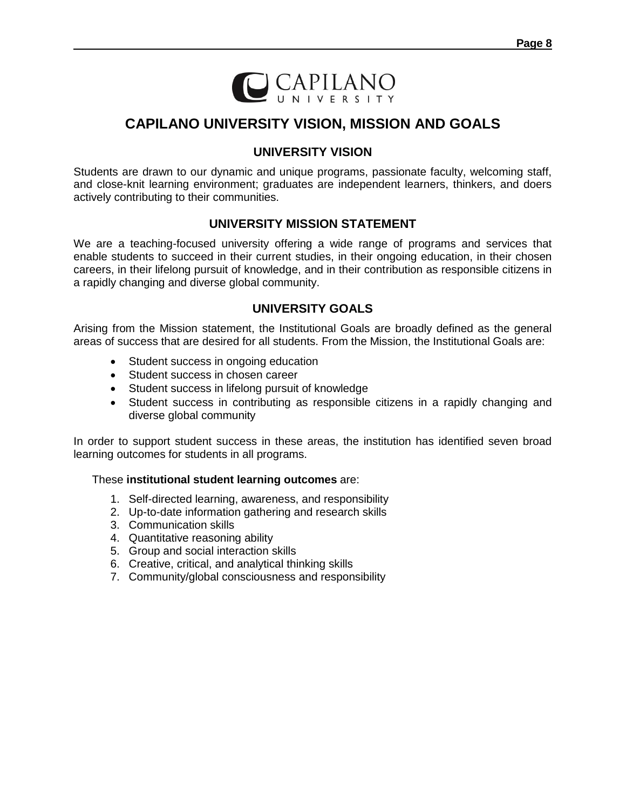

# **CAPILANO UNIVERSITY VISION, MISSION AND GOALS**

# **UNIVERSITY VISION**

Students are drawn to our dynamic and unique programs, passionate faculty, welcoming staff, and close-knit learning environment; graduates are independent learners, thinkers, and doers actively contributing to their communities.

# **UNIVERSITY MISSION STATEMENT**

We are a teaching-focused university offering a wide range of programs and services that enable students to succeed in their current studies, in their ongoing education, in their chosen careers, in their lifelong pursuit of knowledge, and in their contribution as responsible citizens in a rapidly changing and diverse global community.

# **UNIVERSITY GOALS**

Arising from the Mission statement, the Institutional Goals are broadly defined as the general areas of success that are desired for all students. From the Mission, the Institutional Goals are:

- Student success in ongoing education
- Student success in chosen career
- Student success in lifelong pursuit of knowledge
- Student success in contributing as responsible citizens in a rapidly changing and diverse global community

In order to support student success in these areas, the institution has identified seven broad learning outcomes for students in all programs.

#### These **institutional student learning outcomes** are:

- 1. Self-directed learning, awareness, and responsibility
- 2. Up-to-date information gathering and research skills
- 3. Communication skills
- 4. Quantitative reasoning ability
- 5. Group and social interaction skills
- 6. Creative, critical, and analytical thinking skills
- 7. Community/global consciousness and responsibility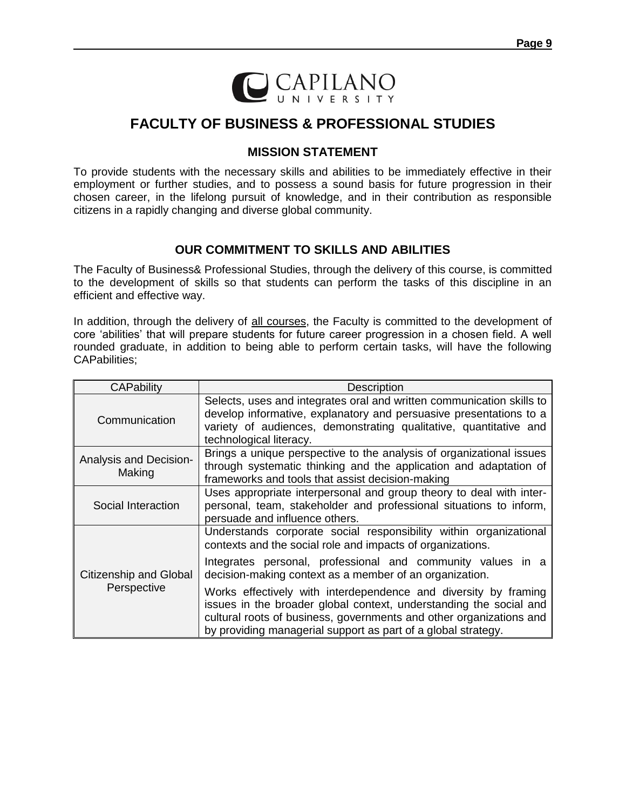

# **FACULTY OF BUSINESS & PROFESSIONAL STUDIES**

# **MISSION STATEMENT**

To provide students with the necessary skills and abilities to be immediately effective in their employment or further studies, and to possess a sound basis for future progression in their chosen career, in the lifelong pursuit of knowledge, and in their contribution as responsible citizens in a rapidly changing and diverse global community.

# **OUR COMMITMENT TO SKILLS AND ABILITIES**

The Faculty of Business& Professional Studies, through the delivery of this course, is committed to the development of skills so that students can perform the tasks of this discipline in an efficient and effective way.

In addition, through the delivery of all courses, the Faculty is committed to the development of core 'abilities' that will prepare students for future career progression in a chosen field. A well rounded graduate, in addition to being able to perform certain tasks, will have the following CAPabilities;

| <b>Description</b>                                                                                                                                                                                                                                                                                                                       |  |  |  |
|------------------------------------------------------------------------------------------------------------------------------------------------------------------------------------------------------------------------------------------------------------------------------------------------------------------------------------------|--|--|--|
| Selects, uses and integrates oral and written communication skills to<br>develop informative, explanatory and persuasive presentations to a<br>variety of audiences, demonstrating qualitative, quantitative and<br>technological literacy.                                                                                              |  |  |  |
| Brings a unique perspective to the analysis of organizational issues<br>through systematic thinking and the application and adaptation of<br>frameworks and tools that assist decision-making                                                                                                                                            |  |  |  |
| Uses appropriate interpersonal and group theory to deal with inter-<br>personal, team, stakeholder and professional situations to inform,<br>persuade and influence others.                                                                                                                                                              |  |  |  |
| Understands corporate social responsibility within organizational<br>contexts and the social role and impacts of organizations.<br>Integrates personal, professional and community values in a                                                                                                                                           |  |  |  |
| decision-making context as a member of an organization.<br>Works effectively with interdependence and diversity by framing<br>issues in the broader global context, understanding the social and<br>cultural roots of business, governments and other organizations and<br>by providing managerial support as part of a global strategy. |  |  |  |
|                                                                                                                                                                                                                                                                                                                                          |  |  |  |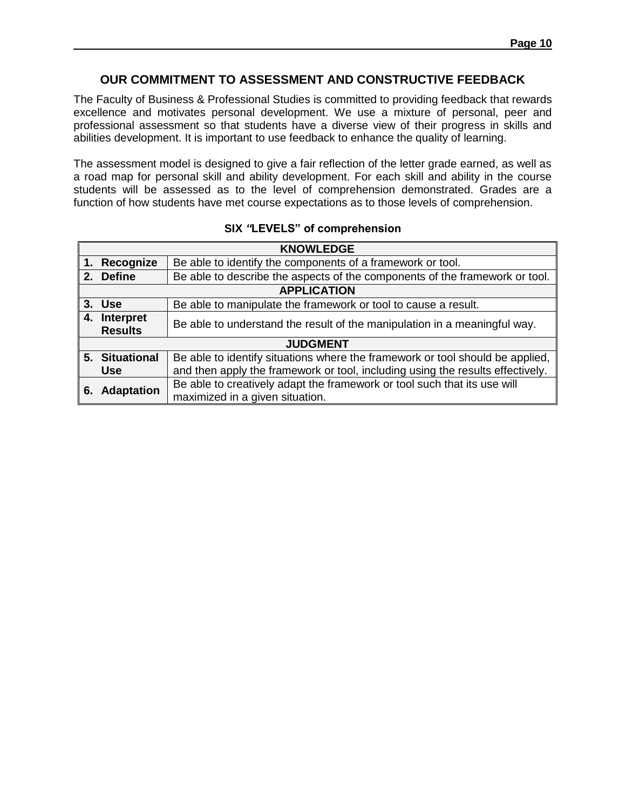# **OUR COMMITMENT TO ASSESSMENT AND CONSTRUCTIVE FEEDBACK**

The Faculty of Business & Professional Studies is committed to providing feedback that rewards excellence and motivates personal development. We use a mixture of personal, peer and professional assessment so that students have a diverse view of their progress in skills and abilities development. It is important to use feedback to enhance the quality of learning.

The assessment model is designed to give a fair reflection of the letter grade earned, as well as a road map for personal skill and ability development. For each skill and ability in the course students will be assessed as to the level of comprehension demonstrated. Grades are a function of how students have met course expectations as to those levels of comprehension.

|    | <b>KNOWLEDGE</b>               |                                                                                                             |  |  |  |  |  |
|----|--------------------------------|-------------------------------------------------------------------------------------------------------------|--|--|--|--|--|
|    | 1. Recognize                   | Be able to identify the components of a framework or tool.                                                  |  |  |  |  |  |
|    | 2. Define                      | Be able to describe the aspects of the components of the framework or tool.                                 |  |  |  |  |  |
|    | <b>APPLICATION</b>             |                                                                                                             |  |  |  |  |  |
|    | 3. Use                         | Be able to manipulate the framework or tool to cause a result.                                              |  |  |  |  |  |
|    | 4. Interpret<br><b>Results</b> | Be able to understand the result of the manipulation in a meaningful way.                                   |  |  |  |  |  |
|    | <b>JUDGMENT</b>                |                                                                                                             |  |  |  |  |  |
|    | 5. Situational                 | Be able to identify situations where the framework or tool should be applied,                               |  |  |  |  |  |
|    | <b>Use</b>                     | and then apply the framework or tool, including using the results effectively.                              |  |  |  |  |  |
| 6. | <b>Adaptation</b>              | Be able to creatively adapt the framework or tool such that its use will<br>maximized in a given situation. |  |  |  |  |  |

#### **SIX** *"***LEVELS" of comprehension**